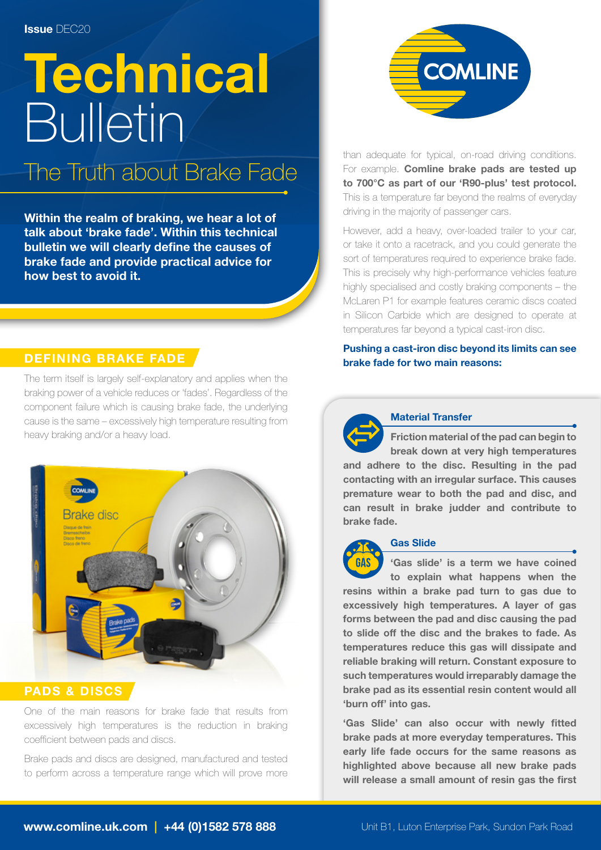# **Technical** Bulletin

### The Truth about Brake Fade

Within the realm of braking, we hear a lot of talk about 'brake fade'. Within this technical bulletin we will clearly define the causes of brake fade and provide practical advice for how best to avoid it.

#### DEFINING BRAKE FADE

The term itself is largely self-explanatory and applies when the braking power of a vehicle reduces or 'fades'. Regardless of the component failure which is causing brake fade, the underlying cause is the same – excessively high temperature resulting from heavy braking and/or a heavy load.



#### PADS & DISCS

One of the main reasons for brake fade that results from excessively high temperatures is the reduction in braking coefficient between pads and discs.

Brake pads and discs are designed, manufactured and tested to perform across a temperature range which will prove more



than adequate for typical, on-road driving conditions. For example. Comline brake pads are tested up to 700°C as part of our 'R90-plus' test protocol. This is a temperature far beyond the realms of everyday driving in the majority of passenger cars.

However, add a heavy, over-loaded trailer to your car, or take it onto a racetrack, and you could generate the sort of temperatures required to experience brake fade. This is precisely why high-performance vehicles feature highly specialised and costly braking components – the McLaren P1 for example features ceramic discs coated in Silicon Carbide which are designed to operate at temperatures far beyond a typical cast-iron disc.

#### Pushing a cast-iron disc beyond its limits can see brake fade for two main reasons:



#### Material Transfer

Friction material of the pad can begin to break down at very high temperatures and adhere to the disc. Resulting in the pad contacting with an irregular surface. This causes premature wear to both the pad and disc, and can result in brake judder and contribute to brake fade.

#### Gas Slide

**GÅS** 'Gas slide' is a term we have coined to explain what happens when the resins within a brake pad turn to gas due to excessively high temperatures. A layer of gas forms between the pad and disc causing the pad to slide off the disc and the brakes to fade. As temperatures reduce this gas will dissipate and reliable braking will return. Constant exposure to such temperatures would irreparably damage the brake pad as its essential resin content would all 'burn off' into gas.

'Gas Slide' can also occur with newly fitted brake pads at more everyday temperatures. This early life fade occurs for the same reasons as highlighted above because all new brake pads will release a small amount of resin gas the first